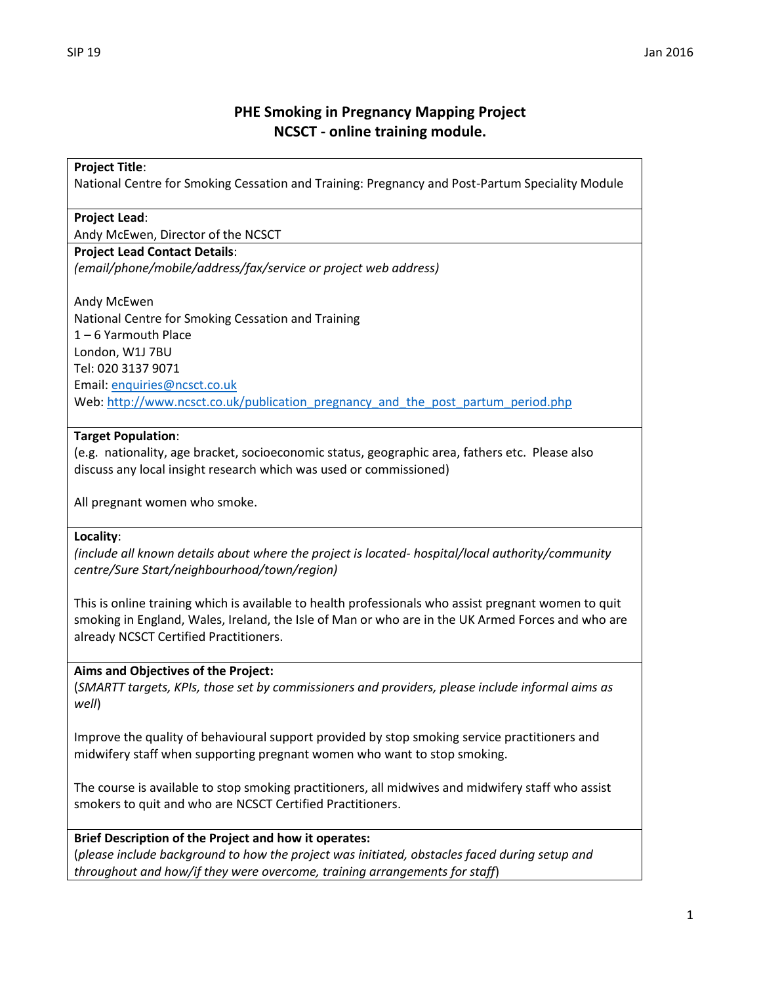# **PHE Smoking in Pregnancy Mapping Project NCSCT - online training module.**

## **Project Title**:

National Centre for Smoking Cessation and Training: Pregnancy and Post-Partum Speciality Module

#### **Project Lead**:

Andy McEwen, Director of the NCSCT

#### **Project Lead Contact Details**:

*(email/phone/mobile/address/fax/service or project web address)*

Andy McEwen National Centre for Smoking Cessation and Training 1 – 6 Yarmouth Place London, W1J 7BU Tel: 020 3137 9071 Email[: enquiries@ncsct.co.uk](mailto:enquiries@ncsct.co.uk) Web: [http://www.ncsct.co.uk/publication\\_pregnancy\\_and\\_the\\_post\\_partum\\_period.php](http://www.ncsct.co.uk/publication_pregnancy_and_the_post_partum_period.php)

#### **Target Population**:

(e.g. nationality, age bracket, socioeconomic status, geographic area, fathers etc. Please also discuss any local insight research which was used or commissioned)

All pregnant women who smoke.

#### **Locality**:

*(include all known details about where the project is located- hospital/local authority/community centre/Sure Start/neighbourhood/town/region)*

This is online training which is available to health professionals who assist pregnant women to quit smoking in England, Wales, Ireland, the Isle of Man or who are in the UK Armed Forces and who are already NCSCT Certified Practitioners.

#### **Aims and Objectives of the Project:**

(*SMARTT targets, KPIs, those set by commissioners and providers, please include informal aims as well*)

Improve the quality of behavioural support provided by stop smoking service practitioners and midwifery staff when supporting pregnant women who want to stop smoking.

The course is available to stop smoking practitioners, all midwives and midwifery staff who assist smokers to quit and who are NCSCT Certified Practitioners.

#### **Brief Description of the Project and how it operates:**

(*please include background to how the project was initiated, obstacles faced during setup and throughout and how/if they were overcome, training arrangements for staff*)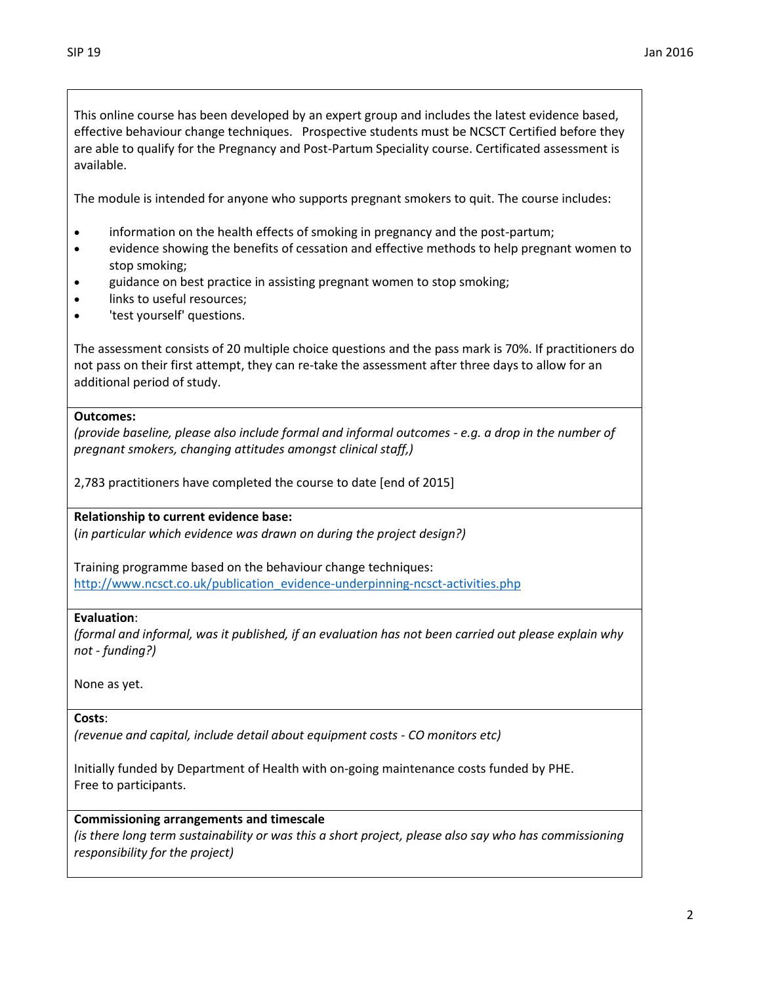This online course has been developed by an expert group and includes the latest evidence based, effective behaviour change techniques. Prospective students must be NCSCT Certified before they are able to qualify for the Pregnancy and Post-Partum Speciality course. Certificated assessment is available.

The module is intended for anyone who supports pregnant smokers to quit. The course includes:

- information on the health effects of smoking in pregnancy and the post-partum;
- evidence showing the benefits of cessation and effective methods to help pregnant women to stop smoking;
- guidance on best practice in assisting pregnant women to stop smoking;
- links to useful resources;
- 'test yourself' questions.

The assessment consists of 20 multiple choice questions and the pass mark is 70%. If practitioners do not pass on their first attempt, they can re-take the assessment after three days to allow for an additional period of study.

#### **Outcomes:**

*(provide baseline, please also include formal and informal outcomes - e.g. a drop in the number of pregnant smokers, changing attitudes amongst clinical staff,)*

2,783 practitioners have completed the course to date [end of 2015]

**Relationship to current evidence base:**

(*in particular which evidence was drawn on during the project design?)*

Training programme based on the behaviour change techniques: [http://www.ncsct.co.uk/publication\\_evidence-underpinning-ncsct-activities.php](http://www.ncsct.co.uk/publication_evidence-underpinning-ncsct-activities.php)

## **Evaluation**:

*(formal and informal, was it published, if an evaluation has not been carried out please explain why not - funding?)*

None as yet.

**Costs**:

*(revenue and capital, include detail about equipment costs - CO monitors etc)*

Initially funded by Department of Health with on-going maintenance costs funded by PHE. Free to participants.

#### **Commissioning arrangements and timescale**

*(is there long term sustainability or was this a short project, please also say who has commissioning responsibility for the project)*